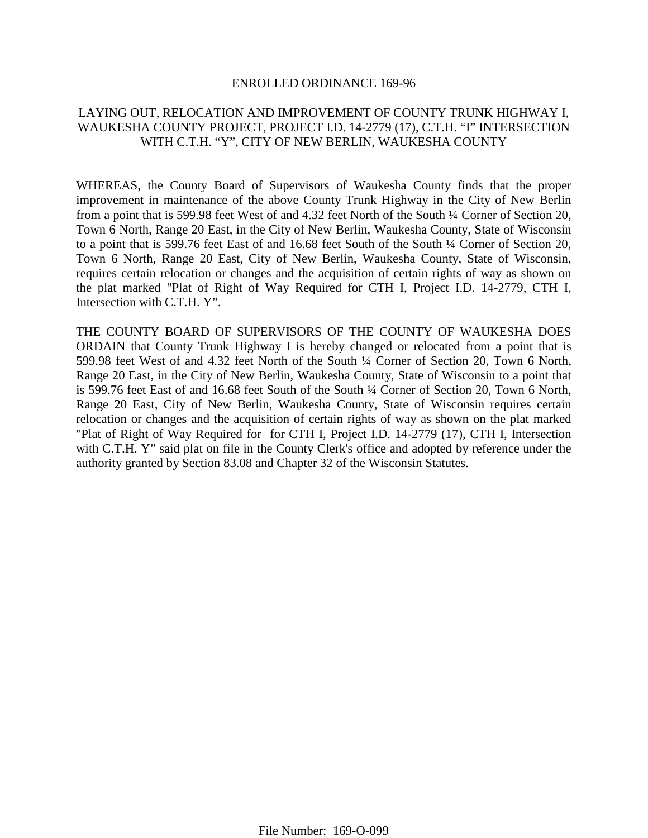#### ENROLLED ORDINANCE 169-96

### LAYING OUT, RELOCATION AND IMPROVEMENT OF COUNTY TRUNK HIGHWAY I, WAUKESHA COUNTY PROJECT, PROJECT I.D. 14-2779 (17), C.T.H. "I" INTERSECTION WITH C.T.H. "Y", CITY OF NEW BERLIN, WAUKESHA COUNTY

WHEREAS, the County Board of Supervisors of Waukesha County finds that the proper improvement in maintenance of the above County Trunk Highway in the City of New Berlin from a point that is 599.98 feet West of and 4.32 feet North of the South ¼ Corner of Section 20, Town 6 North, Range 20 East, in the City of New Berlin, Waukesha County, State of Wisconsin to a point that is 599.76 feet East of and 16.68 feet South of the South ¼ Corner of Section 20, Town 6 North, Range 20 East, City of New Berlin, Waukesha County, State of Wisconsin, requires certain relocation or changes and the acquisition of certain rights of way as shown on the plat marked "Plat of Right of Way Required for CTH I, Project I.D. 14-2779, CTH I, Intersection with C.T.H. Y".

THE COUNTY BOARD OF SUPERVISORS OF THE COUNTY OF WAUKESHA DOES ORDAIN that County Trunk Highway I is hereby changed or relocated from a point that is 599.98 feet West of and 4.32 feet North of the South ¼ Corner of Section 20, Town 6 North, Range 20 East, in the City of New Berlin, Waukesha County, State of Wisconsin to a point that is 599.76 feet East of and 16.68 feet South of the South ¼ Corner of Section 20, Town 6 North, Range 20 East, City of New Berlin, Waukesha County, State of Wisconsin requires certain relocation or changes and the acquisition of certain rights of way as shown on the plat marked "Plat of Right of Way Required for for CTH I, Project I.D. 14-2779 (17), CTH I, Intersection with C.T.H. Y" said plat on file in the County Clerk's office and adopted by reference under the authority granted by Section 83.08 and Chapter 32 of the Wisconsin Statutes.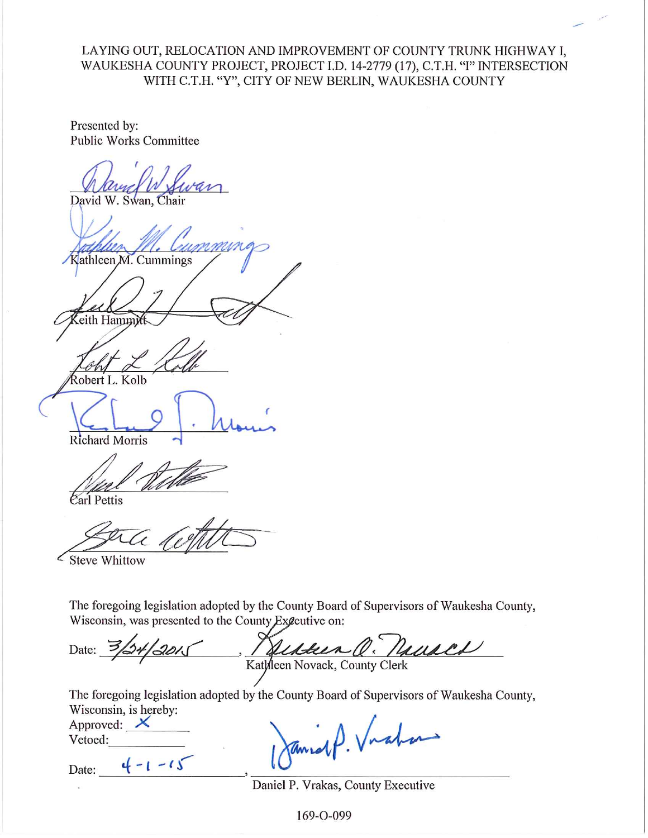LAYING OUT, RELOCATION AND IMPROVEMENT OF COUNTY TRUNK HIGHWAY I, WAUKESHA COUNTY PROJECT, PROJECT I.D. 14-2779 (17), C.T.H. "I" INTERSECTION WITH C.T.H. "Y", CITY OF NEW BERLIN, WAUKESHA COUNTY

Presented by: **Public Works Committee** 

David W. Swan, Chair

Kathleen M. Cummings

eith Hammy

Robert L. Kolb

**Richard Morris** 

Carl Pettis

Steve Whittow

The foregoing legislation adopted by the County Board of Supervisors of Waukesha County, Wisconsin, was presented to the County Executive on:

Q. Naciall Date: Kathleen Novack, County Clerk

The foregoing legislation adopted by the County Board of Supervisors of Waukesha County, Wisconsin, is hereby:

Approved:  $\times$ Vetoed:

 $4 - 1 - 15$ Date:

1P. Viation

Daniel P. Vrakas, County Executive

169-0-099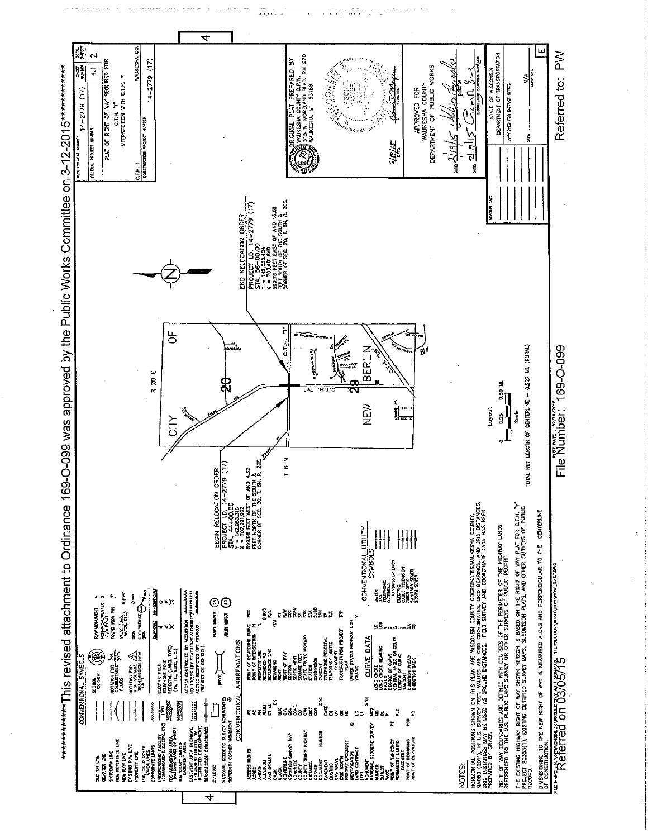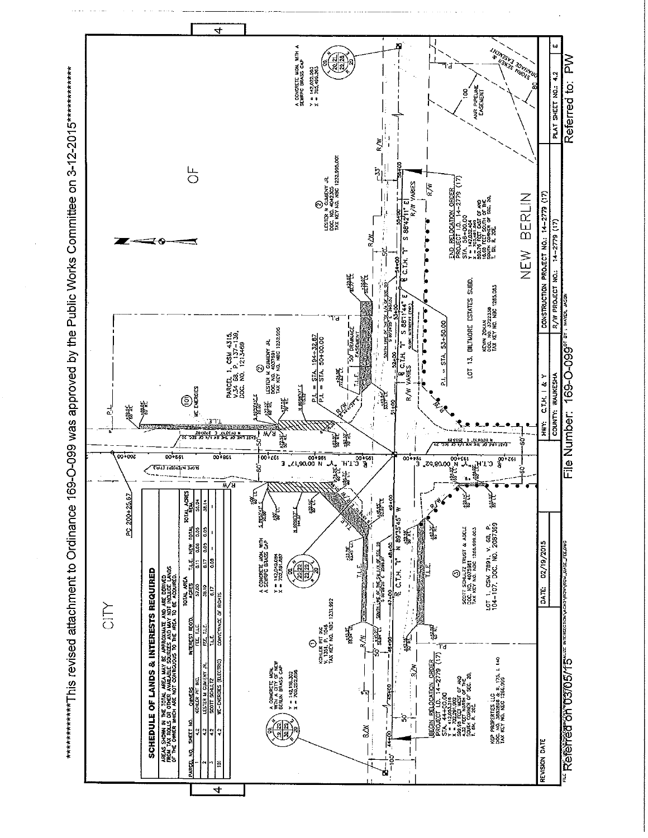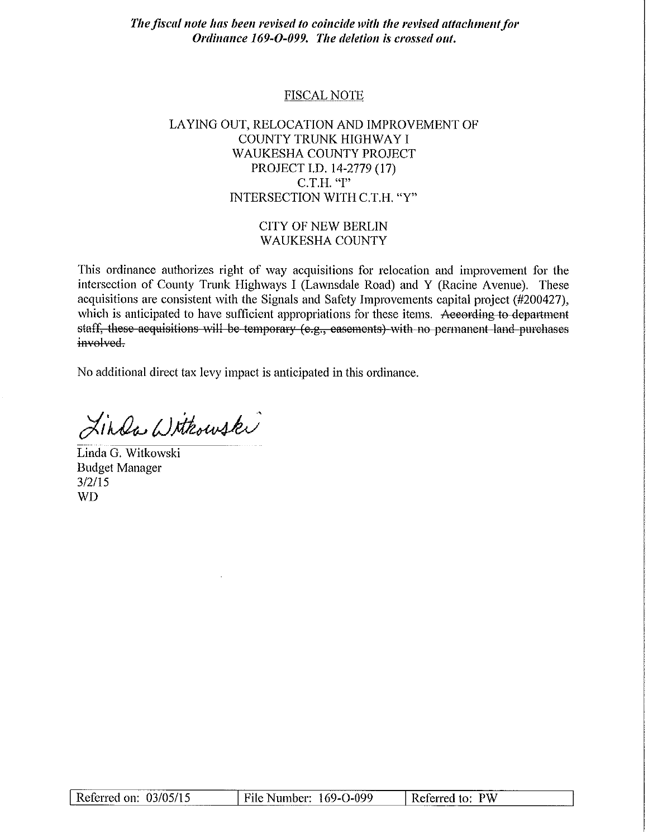The fiscal note has been revised to coincide with the revised attachment for Ordinance 169-O-099. The deletion is crossed out.

#### **FISCAL NOTE**

# LAYING OUT, RELOCATION AND IMPROVEMENT OF COUNTY TRUNK HIGHWAY I **WAUKESHA COUNTY PROJECT** PROJECT I.D. 14-2779 (17) C.T.H. "I" INTERSECTION WITH C.T.H. "Y"

#### **CITY OF NEW BERLIN WAUKESHA COUNTY**

This ordinance authorizes right of way acquisitions for relocation and improvement for the intersection of County Trunk Highways I (Lawnsdale Road) and Y (Racine Avenue). These acquisitions are consistent with the Signals and Safety Improvements capital project  $(\#200427)$ , which is anticipated to have sufficient appropriations for these items. According to department staff, these acquisitions will be temporary (e.g., easements) with no permanent land purchases involved.

No additional direct tax levy impact is anticipated in this ordinance.

Linda Withowski

Linda G. Witkowski **Budget Manager**  $3/2/15$ **WD** 

| Referred on: 03/05/15 | File Number: 169-O-099 | Referred to: PW |
|-----------------------|------------------------|-----------------|
|                       |                        |                 |